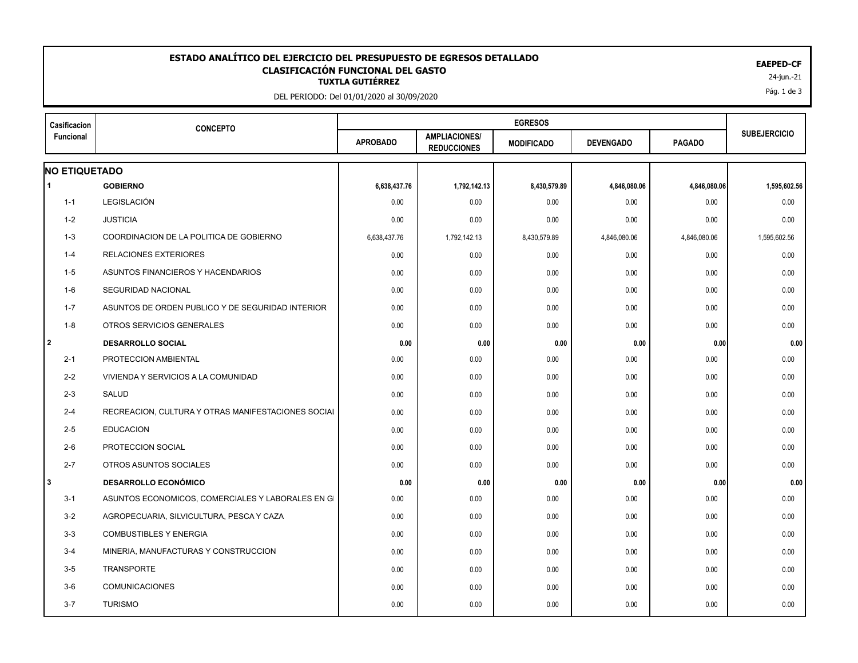## 24-jun.-21 **TUXTLA GUTIÉRREZ ESTADO ANALÍTICO DEL EJERCICIO DEL PRESUPUESTO DE EGRESOS DETALLADO EAEPED-CF CLASIFICACIÓN FUNCIONAL DEL GASTO**

DEL PERIODO: Del 01/01/2020 al 30/09/2020

| Casificacion                                       |                                         | <b>EGRESOS</b>                             |                   |                  |               |                     |
|----------------------------------------------------|-----------------------------------------|--------------------------------------------|-------------------|------------------|---------------|---------------------|
| Funcional                                          | <b>APROBADO</b>                         | <b>AMPLIACIONES/</b><br><b>REDUCCIONES</b> | <b>MODIFICADO</b> | <b>DEVENGADO</b> | <b>PAGADO</b> | <b>SUBEJERCICIO</b> |
|                                                    |                                         |                                            |                   |                  |               |                     |
| <b>GOBIERNO</b>                                    | 6,638,437.76                            | 1,792,142.13                               | 8,430,579.89      | 4,846,080.06     | 4,846,080.06  | 1,595,602.56        |
| LEGISLACIÓN                                        | 0.00                                    | 0.00                                       | 0.00              | 0.00             | 0.00          | 0.00                |
| <b>JUSTICIA</b>                                    | 0.00                                    | 0.00                                       | 0.00              | 0.00             | 0.00          | 0.00                |
| COORDINACION DE LA POLITICA DE GOBIERNO            | 6,638,437.76                            | 1,792,142.13                               | 8,430,579.89      | 4,846,080.06     | 4,846,080.06  | 1,595,602.56        |
| <b>RELACIONES EXTERIORES</b>                       | 0.00                                    | 0.00                                       | 0.00              | 0.00             | 0.00          | 0.00                |
| ASUNTOS FINANCIEROS Y HACENDARIOS                  | 0.00                                    | 0.00                                       | 0.00              | 0.00             | 0.00          | 0.00                |
| SEGURIDAD NACIONAL                                 | 0.00                                    | 0.00                                       | 0.00              | 0.00             | 0.00          | 0.00                |
| ASUNTOS DE ORDEN PUBLICO Y DE SEGURIDAD INTERIOR   | 0.00                                    | 0.00                                       | 0.00              | 0.00             | 0.00          | 0.00                |
| OTROS SERVICIOS GENERALES                          | 0.00                                    | 0.00                                       | 0.00              | 0.00             | 0.00          | 0.00                |
| <b>DESARROLLO SOCIAL</b>                           | 0.00                                    | 0.00                                       | 0.00              | 0.00             | 0.00          | 0.00                |
| PROTECCION AMBIENTAL                               | 0.00                                    | 0.00                                       | 0.00              | 0.00             | 0.00          | 0.00                |
| VIVIENDA Y SERVICIOS A LA COMUNIDAD                | 0.00                                    | 0.00                                       | 0.00              | 0.00             | 0.00          | 0.00                |
| <b>SALUD</b>                                       | 0.00                                    | 0.00                                       | 0.00              | 0.00             | 0.00          | 0.00                |
| RECREACION, CULTURA Y OTRAS MANIFESTACIONES SOCIAL | 0.00                                    | 0.00                                       | 0.00              | 0.00             | 0.00          | 0.00                |
| <b>EDUCACION</b>                                   | 0.00                                    | 0.00                                       | 0.00              | 0.00             | 0.00          | 0.00                |
| PROTECCION SOCIAL                                  | 0.00                                    | 0.00                                       | 0.00              | 0.00             | 0.00          | 0.00                |
| OTROS ASUNTOS SOCIALES                             | 0.00                                    | 0.00                                       | 0.00              | 0.00             | 0.00          | 0.00                |
| <b>DESARROLLO ECONÓMICO</b>                        | 0.00                                    | 0.00                                       | 0.00              | 0.00             | 0.00          | 0.00                |
| ASUNTOS ECONOMICOS, COMERCIALES Y LABORALES EN GI  | 0.00                                    | 0.00                                       | 0.00              | 0.00             | 0.00          | 0.00                |
| AGROPECUARIA, SILVICULTURA, PESCA Y CAZA           | 0.00                                    | 0.00                                       | 0.00              | 0.00             | 0.00          | 0.00                |
| <b>COMBUSTIBLES Y ENERGIA</b>                      | 0.00                                    | 0.00                                       | 0.00              | 0.00             | 0.00          | 0.00                |
| MINERIA, MANUFACTURAS Y CONSTRUCCION               | 0.00                                    | 0.00                                       | 0.00              | 0.00             | 0.00          | 0.00                |
| <b>TRANSPORTE</b>                                  | 0.00                                    | 0.00                                       | 0.00              | 0.00             | 0.00          | 0.00                |
| <b>COMUNICACIONES</b>                              | 0.00                                    | 0.00                                       | 0.00              | 0.00             | 0.00          | 0.00                |
| <b>TURISMO</b>                                     | 0.00                                    | 0.00                                       | 0.00              | 0.00             | 0.00          | 0.00                |
|                                                    | <b>CONCEPTO</b><br><b>NO ETIQUETADO</b> |                                            |                   |                  |               |                     |

Pág. 1 de 3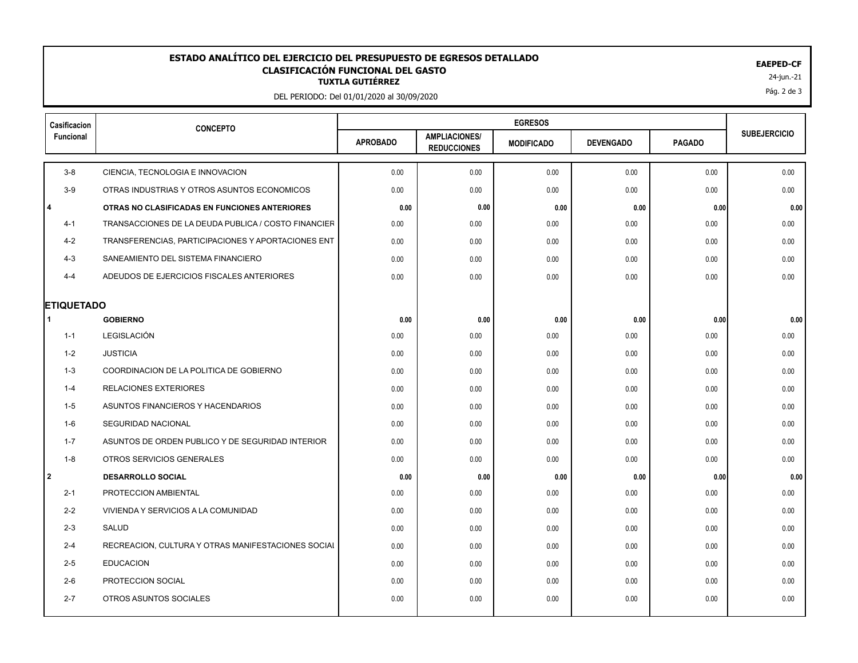## 24-jun.-21 **TUXTLA GUTIÉRREZ ESTADO ANALÍTICO DEL EJERCICIO DEL PRESUPUESTO DE EGRESOS DETALLADO EAEPED-CF CLASIFICACIÓN FUNCIONAL DEL GASTO**

DEL PERIODO: Del 01/01/2020 al 30/09/2020

| Casificacion           | <b>CONCEPTO</b>                                     | <b>EGRESOS</b>  |                                            |                   |                  |               |                     |
|------------------------|-----------------------------------------------------|-----------------|--------------------------------------------|-------------------|------------------|---------------|---------------------|
| Funcional              |                                                     | <b>APROBADO</b> | <b>AMPLIACIONES/</b><br><b>REDUCCIONES</b> | <b>MODIFICADO</b> | <b>DEVENGADO</b> | <b>PAGADO</b> | <b>SUBEJERCICIO</b> |
| $3-8$                  | CIENCIA, TECNOLOGIA E INNOVACION                    | 0.00            | 0.00                                       | 0.00              | 0.00             | 0.00          | 0.00                |
| $3-9$                  | OTRAS INDUSTRIAS Y OTROS ASUNTOS ECONOMICOS         | 0.00            | 0.00                                       | 0.00              | 0.00             | 0.00          | 0.00                |
| $\overline{4}$         | OTRAS NO CLASIFICADAS EN FUNCIONES ANTERIORES       | 0.00            | 0.00                                       | 0.00              | 0.00             | 0.00          | 0.00                |
| $4 - 1$                | TRANSACCIONES DE LA DEUDA PUBLICA / COSTO FINANCIER | 0.00            | 0.00                                       | 0.00              | 0.00             | 0.00          | 0.00                |
| $4 - 2$                | TRANSFERENCIAS, PARTICIPACIONES Y APORTACIONES ENT  | 0.00            | 0.00                                       | 0.00              | 0.00             | 0.00          | 0.00                |
| $4 - 3$                | SANEAMIENTO DEL SISTEMA FINANCIERO                  | 0.00            | 0.00                                       | 0.00              | 0.00             | 0.00          | 0.00                |
| $4 - 4$                | ADEUDOS DE EJERCICIOS FISCALES ANTERIORES           | 0.00            | 0.00                                       | 0.00              | 0.00             | 0.00          | 0.00                |
|                        |                                                     |                 |                                            |                   |                  |               |                     |
| <b>ETIQUETADO</b><br>1 | <b>GOBIERNO</b>                                     | 0.00            | 0.00                                       | 0.00              | 0.00             | 0.00          | 0.00                |
| $1 - 1$                | LEGISLACIÓN                                         | 0.00            | 0.00                                       | 0.00              | 0.00             | 0.00          | 0.00                |
| 1-2                    | <b>JUSTICIA</b>                                     | 0.00            | 0.00                                       | 0.00              | 0.00             | 0.00          | 0.00                |
| $1 - 3$                | COORDINACION DE LA POLITICA DE GOBIERNO             | 0.00            | 0.00                                       | 0.00              | 0.00             | 0.00          | 0.00                |
| $1 - 4$                | <b>RELACIONES EXTERIORES</b>                        | 0.00            | 0.00                                       | 0.00              | 0.00             | 0.00          | 0.00                |
| $1 - 5$                | ASUNTOS FINANCIEROS Y HACENDARIOS                   | 0.00            | 0.00                                       | 0.00              | 0.00             | 0.00          | 0.00                |
| 1-6                    | <b>SEGURIDAD NACIONAL</b>                           | 0.00            | 0.00                                       | 0.00              | 0.00             | 0.00          | 0.00                |
| $1 - 7$                | ASUNTOS DE ORDEN PUBLICO Y DE SEGURIDAD INTERIOR    | 0.00            | 0.00                                       | 0.00              | 0.00             | 0.00          | 0.00                |
| $1 - 8$                | OTROS SERVICIOS GENERALES                           | 0.00            | 0.00                                       | 0.00              | 0.00             | 0.00          | 0.00                |
| l 2                    | <b>DESARROLLO SOCIAL</b>                            | 0.00            | 0.00                                       | 0.00              | 0.00             | 0.00          | 0.00                |
| $2 - 1$                | PROTECCION AMBIENTAL                                | 0.00            | 0.00                                       | 0.00              | 0.00             | 0.00          | 0.00                |
| $2 - 2$                | VIVIENDA Y SERVICIOS A LA COMUNIDAD                 | 0.00            | 0.00                                       | 0.00              | 0.00             | 0.00          | 0.00                |
| $2 - 3$                | SALUD                                               | 0.00            | 0.00                                       | 0.00              | 0.00             | 0.00          | 0.00                |
| $2 - 4$                | RECREACION, CULTURA Y OTRAS MANIFESTACIONES SOCIAL  | 0.00            | 0.00                                       | 0.00              | 0.00             | 0.00          | 0.00                |
| $2 - 5$                | <b>EDUCACION</b>                                    | 0.00            | 0.00                                       | 0.00              | 0.00             | 0.00          | 0.00                |
| $2 - 6$                | PROTECCION SOCIAL                                   | 0.00            | 0.00                                       | 0.00              | 0.00             | 0.00          | 0.00                |
| $2 - 7$                | OTROS ASUNTOS SOCIALES                              | 0.00            | 0.00                                       | 0.00              | 0.00             | 0.00          | 0.00                |
|                        |                                                     |                 |                                            |                   |                  |               |                     |

Pág. 2 de 3